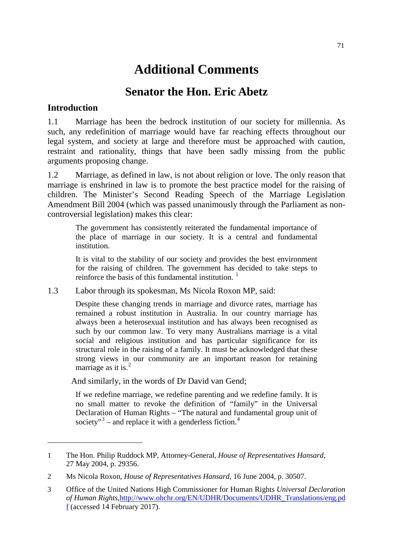# **Additional Comments**

## **Senator the Hon. Eric Abetz**

## **Introduction**

<span id="page-0-3"></span>-

1.1 Marriage has been the bedrock institution of our society for millennia. As such, any redefinition of marriage would have far reaching effects throughout our legal system, and society at large and therefore must be approached with caution, restraint and rationality, things that have been sadly missing from the public arguments proposing change.

1.2 Marriage, as defined in law, is not about religion or love. The only reason that marriage is enshrined in law is to promote the best practice model for the raising of children. The Minister's Second Reading Speech of the Marriage Legislation Amendment Bill 2004 (which was passed unanimously through the Parliament as noncontroversial legislation) makes this clear:

The government has consistently reiterated the fundamental importance of the place of marriage in our society. It is a central and fundamental institution.

It is vital to the stability of our society and provides the best environment for the raising of children. The government has decided to take steps to reinforce the basis of this fundamental institution.  $\frac{1}{1}$  $\frac{1}{1}$  $\frac{1}{1}$ 

1.3 Labor through its spokesman, Ms Nicola Roxon MP, said:

Despite these changing trends in marriage and divorce rates, marriage has remained a robust institution in Australia. In our country marriage has always been a heterosexual institution and has always been recognised as such by our common law. To very many Australians marriage is a vital social and religious institution and has particular significance for its structural role in the raising of a family. It must be acknowledged that these strong views in our community are an important reason for retaining marriage as it is. $<sup>2</sup>$  $<sup>2</sup>$  $<sup>2</sup>$ </sup>

And similarly, in the words of Dr David van Gend;

If we redefine marriage, we redefine parenting and we redefine family. It is no small matter to revoke the definition of "family" in the Universal Declaration of Human Rights – "The natural and fundamental group unit of society" $3$  – and replace it with a genderless fiction.<sup>[4](#page-0-3)</sup>

<span id="page-0-0"></span><sup>1</sup> The Hon. Philip Ruddock MP, Attorney-General, *House of Representatives Hansard*, 27 May 2004, p. 29356.

<span id="page-0-1"></span><sup>2</sup> Ms Nicola Roxon, *House of Representatives Hansard*, 16 June 2004, p. 30507.

<span id="page-0-2"></span><sup>3</sup> Office of the United Nations High Commissioner for Human Rights *Universal Declaration of Human Rights*[,http://www.ohchr.org/EN/UDHR/Documents/UDHR\\_Translations/eng.pd](http://www.ohchr.org/EN/UDHR/Documents/UDHR_Translations/eng.pdf) [f](http://www.ohchr.org/EN/UDHR/Documents/UDHR_Translations/eng.pdf) (accessed 14 February 2017).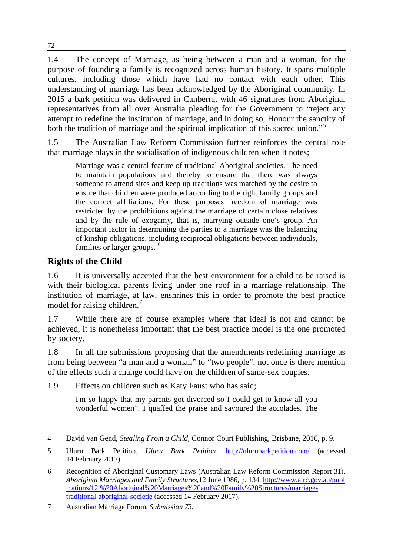1.4 The concept of Marriage, as being between a man and a woman, for the purpose of founding a family is recognized across human history. It spans multiple cultures, including those which have had no contact with each other. This understanding of marriage has been acknowledged by the Aboriginal community. In 2015 a bark petition was delivered in Canberra, with 46 signatures from Aboriginal representatives from all over Australia pleading for the Government to "reject any attempt to redefine the institution of marriage, and in doing so, Honour the sanctity of both the tradition of marriage and the spiritual implication of this sacred union."<sup>[5](#page-1-0)</sup>

1.5 The Australian Law Reform Commission further reinforces the central role that marriage plays in the socialisation of indigenous children when it notes;

Marriage was a central feature of traditional Aboriginal societies. The need to maintain populations and thereby to ensure that there was always someone to attend sites and keep up traditions was matched by the desire to ensure that children were produced according to the right family groups and the correct affiliations. For these purposes freedom of marriage was restricted by the prohibitions against the marriage of certain close relatives and by the rule of exogamy, that is, marrying outside one's group. An important factor in determining the parties to a marriage was the balancing of kinship obligations, including reciprocal obligations between individuals, families or larger groups.<sup>[6](#page-1-1)</sup>

## **Rights of the Child**

-

1.6 It is universally accepted that the best environment for a child to be raised is with their biological parents living under one roof in a marriage relationship. The institution of marriage, at law, enshrines this in order to promote the best practice model for raising children.<sup>[7](#page-1-2)</sup>

1.7 While there are of course examples where that ideal is not and cannot be achieved, it is nonetheless important that the best practice model is the one promoted by society.

1.8 In all the submissions proposing that the amendments redefining marriage as from being between "a man and a woman" to "two people", not once is there mention of the effects such a change could have on the children of same-sex couples.

1.9 Effects on children such as Katy Faust who has said;

I'm so happy that my parents got divorced so I could get to know all you wonderful women". I quaffed the praise and savoured the accolades. The

<sup>4</sup> David van Gend, *Stealing From a Child,* Connor Court Publishing, Brisbane, 2016, p. 9.

<span id="page-1-0"></span><sup>5</sup> Uluru Bark Petition, *Uluru Bark Petition,* <http://ulurubarkpetition.com/> (accessed 14 February 2017).

<span id="page-1-1"></span><sup>6</sup> Recognition of Aboriginal Customary Laws (Australian Law Reform Commission Report 31), *Aboriginal Marriages and Family Structures,*12 June 1986, p. 134, [http://www.alrc.gov.au/publ](http://www.alrc.gov.au/publications/12.%20Aboriginal%20Marriages%20and%20Family%20Structures/marriage-traditional-aboriginal-societie) [ications/12.%20Aboriginal%20Marriages%20and%20Family%20Structures/marriage](http://www.alrc.gov.au/publications/12.%20Aboriginal%20Marriages%20and%20Family%20Structures/marriage-traditional-aboriginal-societie)[traditional-aboriginal-societie](http://www.alrc.gov.au/publications/12.%20Aboriginal%20Marriages%20and%20Family%20Structures/marriage-traditional-aboriginal-societie) (accessed 14 February 2017).

<span id="page-1-2"></span><sup>7</sup> Australian Marriage Forum, *Submission 73.*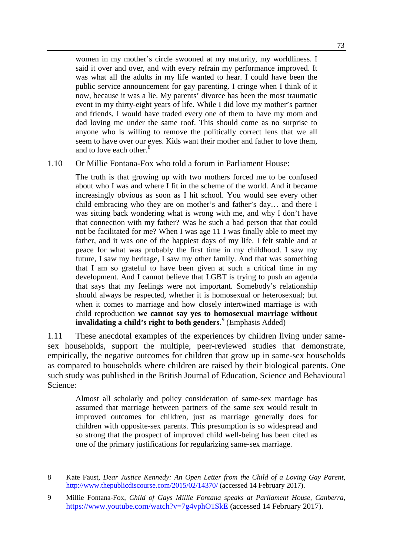women in my mother's circle swooned at my maturity, my worldliness. I said it over and over, and with every refrain my performance improved. It was what all the adults in my life wanted to hear. I could have been the public service announcement for gay parenting. I cringe when I think of it now, because it was a lie. My parents' divorce has been the most traumatic event in my thirty-eight years of life. While I did love my mother's partner and friends, I would have traded every one of them to have my mom and dad loving me under the same roof. This should come as no surprise to anyone who is willing to remove the politically correct lens that we all seem to have over our eyes. Kids want their mother and father to love them, and to love each other.<sup>[8](#page-2-0)</sup>

#### 1.10 Or Millie Fontana-Fox who told a forum in Parliament House:

The truth is that growing up with two mothers forced me to be confused about who I was and where I fit in the scheme of the world. And it became increasingly obvious as soon as I hit school. You would see every other child embracing who they are on mother's and father's day… and there I was sitting back wondering what is wrong with me, and why I don't have that connection with my father? Was he such a bad person that that could not be facilitated for me? When I was age 11 I was finally able to meet my father, and it was one of the happiest days of my life. I felt stable and at peace for what was probably the first time in my childhood. I saw my future, I saw my heritage, I saw my other family. And that was something that I am so grateful to have been given at such a critical time in my development. And I cannot believe that LGBT is trying to push an agenda that says that my feelings were not important. Somebody's relationship should always be respected, whether it is homosexual or heterosexual; but when it comes to marriage and how closely intertwined marriage is with child reproduction **we cannot say yes to homosexual marriage without invalidating a child's right to both genders**. [9](#page-2-1) (Emphasis Added)

1.11 These anecdotal examples of the experiences by children living under samesex households, support the multiple, peer-reviewed studies that demonstrate, empirically, the negative outcomes for children that grow up in same-sex households as compared to households where children are raised by their biological parents. One such study was published in the British Journal of Education, Science and Behavioural Science:

Almost all scholarly and policy consideration of same-sex marriage has assumed that marriage between partners of the same sex would result in improved outcomes for children, just as marriage generally does for children with opposite-sex parents. This presumption is so widespread and so strong that the prospect of improved child well-being has been cited as one of the primary justifications for regularizing same-sex marriage.

<span id="page-2-0"></span><sup>8</sup> Kate Faust, *Dear Justice Kennedy: An Open Letter from the Child of a Loving Gay Parent,*  <http://www.thepublicdiscourse.com/2015/02/14370/> (accessed 14 February 2017).

<span id="page-2-1"></span><sup>9</sup> Millie Fontana-Fox, *Child of Gays Millie Fontana speaks at Parliament House, Canberra,*  <https://www.youtube.com/watch?v=7g4vphO1SkE> (accessed 14 February 2017).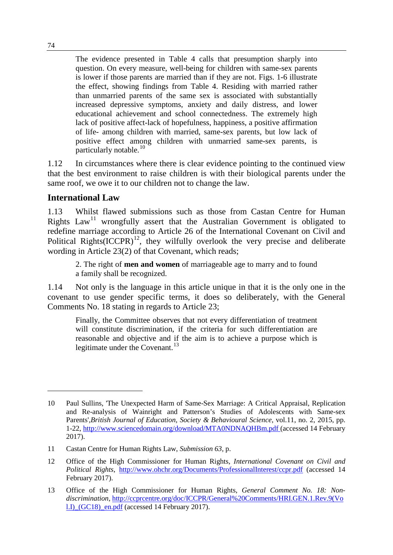The evidence presented in Table 4 calls that presumption sharply into question. On every measure, well-being for children with same-sex parents is lower if those parents are married than if they are not. Figs. 1-6 illustrate the effect, showing findings from Table 4. Residing with married rather than unmarried parents of the same sex is associated with substantially increased depressive symptoms, anxiety and daily distress, and lower educational achievement and school connectedness. The extremely high lack of positive affect-lack of hopefulness, happiness, a positive affirmation of life- among children with married, same-sex parents, but low lack of positive effect among children with unmarried same-sex parents, is particularly notable.<sup>[10](#page-3-0)</sup>

1.12 In circumstances where there is clear evidence pointing to the continued view that the best environment to raise children is with their biological parents under the same roof, we owe it to our children not to change the law.

#### **International Law**

1.13 Whilst flawed submissions such as those from Castan Centre for Human Rights  $Law<sup>11</sup>$  $Law<sup>11</sup>$  $Law<sup>11</sup>$  wrongfully assert that the Australian Government is obligated to redefine marriage according to Article 26 of the International Covenant on Civil and Political Rights $(ICCPR)^{12}$  $(ICCPR)^{12}$  $(ICCPR)^{12}$ , they wilfully overlook the very precise and deliberate wording in Article 23(2) of that Covenant, which reads;

2. The right of **men and women** of marriageable age to marry and to found a family shall be recognized.

1.14 Not only is the language in this article unique in that it is the only one in the covenant to use gender specific terms, it does so deliberately, with the General Comments No. 18 stating in regards to Article 23;

Finally, the Committee observes that not every differentiation of treatment will constitute discrimination, if the criteria for such differentiation are reasonable and objective and if the aim is to achieve a purpose which is legitimate under the Covenant.<sup>[13](#page-3-3)</sup>

<span id="page-3-0"></span><sup>10</sup> Paul Sullins, 'The Unexpected Harm of Same-Sex Marriage: A Critical Appraisal, Replication and Re-analysis of Wainright and Patterson's Studies of Adolescents with Same-sex Parents'*,British Journal of Education, Society & Behavioural Science*, vol.11, no. 2, 2015, pp. 1-22,<http://www.sciencedomain.org/download/MTA0NDNAQHBm.pdf> (accessed 14 February 2017).

<span id="page-3-1"></span><sup>11</sup> Castan Centre for Human Rights Law, *Submission 63,* p.

<span id="page-3-2"></span><sup>12</sup> Office of the High Commissioner for Human Rights, *International Covenant on Civil and Political Rights*, <http://www.ohchr.org/Documents/ProfessionalInterest/ccpr.pdf> (accessed 14 February 2017).

<span id="page-3-3"></span><sup>13</sup> Office of the High Commissioner for Human Rights, *General Comment No. 18: Nondiscrimination,* [http://ccprcentre.org/doc/ICCPR/General%20Comments/HRI.GEN.1.Rev.9\(Vo](http://ccprcentre.org/doc/ICCPR/General%20Comments/HRI.GEN.1.Rev.9(Vol.I)_(GC18)_en.pdf) [l.I\)\\_\(GC18\)\\_en.pdf](http://ccprcentre.org/doc/ICCPR/General%20Comments/HRI.GEN.1.Rev.9(Vol.I)_(GC18)_en.pdf) (accessed 14 February 2017).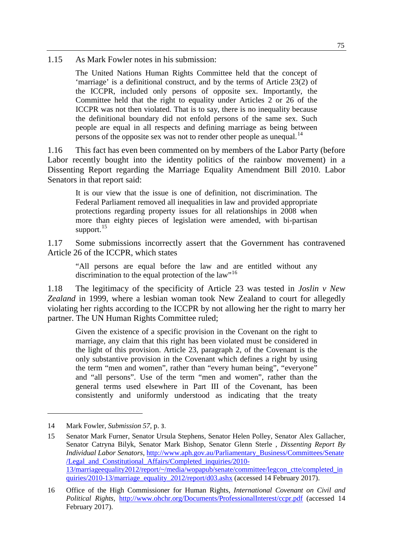1.15 As Mark Fowler notes in his submission:

The United Nations Human Rights Committee held that the concept of 'marriage' is a definitional construct, and by the terms of Article 23(2) of the ICCPR, included only persons of opposite sex. Importantly, the Committee held that the right to equality under Articles 2 or 26 of the ICCPR was not then violated. That is to say, there is no inequality because the definitional boundary did not enfold persons of the same sex. Such people are equal in all respects and defining marriage as being between persons of the opposite sex was not to render other people as unequal.<sup>[14](#page-4-0)</sup>

1.16 This fact has even been commented on by members of the Labor Party (before Labor recently bought into the identity politics of the rainbow movement) in a Dissenting Report regarding the Marriage Equality Amendment Bill 2010. Labor Senators in that report said:

It is our view that the issue is one of definition, not discrimination. The Federal Parliament removed all inequalities in law and provided appropriate protections regarding property issues for all relationships in 2008 when more than eighty pieces of legislation were amended, with bi-partisan support.<sup>[15](#page-4-1)</sup>

1.17 Some submissions incorrectly assert that the Government has contravened Article 26 of the ICCPR, which states

"All persons are equal before the law and are entitled without any discrimination to the equal protection of the law"<sup>[16](#page-4-2)</sup>

1.18 The legitimacy of the specificity of Article 23 was tested in *Joslin v New Zealand* in 1999, where a lesbian woman took New Zealand to court for allegedly violating her rights according to the ICCPR by not allowing her the right to marry her partner. The UN Human Rights Committee ruled;

Given the existence of a specific provision in the Covenant on the right to marriage, any claim that this right has been violated must be considered in the light of this provision. Article 23, paragraph 2, of the Covenant is the only substantive provision in the Covenant which defines a right by using the term "men and women", rather than "every human being", "everyone" and "all persons". Use of the term "men and women", rather than the general terms used elsewhere in Part III of the Covenant, has been consistently and uniformly understood as indicating that the treaty

<span id="page-4-0"></span><sup>14</sup> Mark Fowler, *Submission 57,* p. 3.

<span id="page-4-1"></span><sup>15</sup> Senator Mark Furner, Senator Ursula Stephens, Senator Helen Polley, Senator Alex Gallacher, Senator Catryna Bilyk, Senator Mark Bishop, Senator Glenn Sterle , *Dissenting Report By Individual Labor Senators,* [http://www.aph.gov.au/Parliamentary\\_Business/Committees/Senate](http://www.aph.gov.au/Parliamentary_Business/Committees/Senate/Legal_and_Constitutional_Affairs/Completed_inquiries/2010-13/marriageequality2012/report/%7E/media/wopapub/senate/committee/legcon_ctte/completed_inquiries/2010-13/marriage_equality_2012/report/d03.ashx) [/Legal\\_and\\_Constitutional\\_Affairs/Completed\\_inquiries/2010-](http://www.aph.gov.au/Parliamentary_Business/Committees/Senate/Legal_and_Constitutional_Affairs/Completed_inquiries/2010-13/marriageequality2012/report/%7E/media/wopapub/senate/committee/legcon_ctte/completed_inquiries/2010-13/marriage_equality_2012/report/d03.ashx) [13/marriageequality2012/report/~/media/wopapub/senate/committee/legcon\\_ctte/completed\\_in](http://www.aph.gov.au/Parliamentary_Business/Committees/Senate/Legal_and_Constitutional_Affairs/Completed_inquiries/2010-13/marriageequality2012/report/%7E/media/wopapub/senate/committee/legcon_ctte/completed_inquiries/2010-13/marriage_equality_2012/report/d03.ashx) [quiries/2010-13/marriage\\_equality\\_2012/report/d03.ashx](http://www.aph.gov.au/Parliamentary_Business/Committees/Senate/Legal_and_Constitutional_Affairs/Completed_inquiries/2010-13/marriageequality2012/report/%7E/media/wopapub/senate/committee/legcon_ctte/completed_inquiries/2010-13/marriage_equality_2012/report/d03.ashx) (accessed 14 February 2017).

<span id="page-4-2"></span><sup>16</sup> Office of the High Commissioner for Human Rights, *International Covenant on Civil and Political Rights,* <http://www.ohchr.org/Documents/ProfessionalInterest/ccpr.pdf> (accessed 14 February 2017).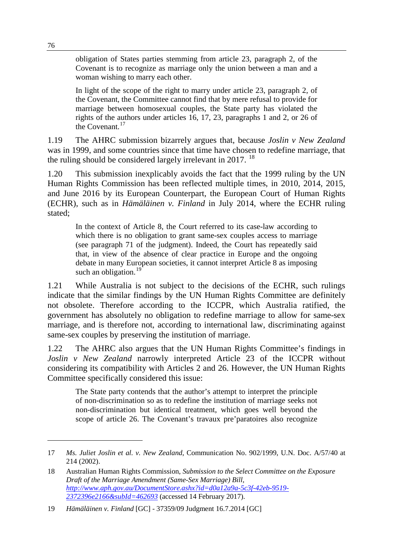obligation of States parties stemming from article 23, paragraph 2, of the Covenant is to recognize as marriage only the union between a man and a woman wishing to marry each other.

In light of the scope of the right to marry under article 23, paragraph 2, of the Covenant, the Committee cannot find that by mere refusal to provide for marriage between homosexual couples, the State party has violated the rights of the authors under articles 16, 17, 23, paragraphs 1 and 2, or 26 of the Covenant.<sup>17</sup>

1.19 The AHRC submission bizarrely argues that, because *Joslin v New Zealand* was in 1999, and some countries since that time have chosen to redefine marriage, that the ruling should be considered largely irrelevant in 2017.  $^{18}$  $^{18}$  $^{18}$ 

1.20 This submission inexplicably avoids the fact that the 1999 ruling by the UN Human Rights Commission has been reflected multiple times, in 2010, 2014, 2015, and June 2016 by its European Counterpart, the European Court of Human Rights (ECHR), such as in *Hämäläinen v. Finland* in July 2014, where the ECHR ruling stated;

In the context of Article 8, the Court referred to its case-law according to which there is no obligation to grant same-sex couples access to marriage (see paragraph 71 of the judgment). Indeed, the Court has repeatedly said that, in view of the absence of clear practice in Europe and the ongoing debate in many European societies, it cannot interpret Article 8 as imposing such an obligation.<sup>[19](#page-5-2)</sup>

1.21 While Australia is not subject to the decisions of the ECHR, such rulings indicate that the similar findings by the UN Human Rights Committee are definitely not obsolete. Therefore according to the ICCPR, which Australia ratified, the government has absolutely no obligation to redefine marriage to allow for same-sex marriage, and is therefore not, according to international law, discriminating against same-sex couples by preserving the institution of marriage.

1.22 The AHRC also argues that the UN Human Rights Committee's findings in *Joslin v New Zealand* narrowly interpreted Article 23 of the ICCPR without considering its compatibility with Articles 2 and 26. However, the UN Human Rights Committee specifically considered this issue:

The State party contends that the author's attempt to interpret the principle of non-discrimination so as to redefine the institution of marriage seeks not non-discrimination but identical treatment, which goes well beyond the scope of article 26. The Covenant's travaux pre'paratoires also recognize

<span id="page-5-0"></span><sup>17</sup> *Ms. Juliet Joslin et al. v. New Zealand*, Communication No. 902/1999, U.N. Doc. A/57/40 at 214 (2002).

<span id="page-5-1"></span><sup>18</sup> Australian Human Rights Commission, *Submission to the Select Committee on the Exposure Draft of the Marriage Amendment (Same-Sex Marriage) Bill, [http://www.aph.gov.au/DocumentStore.ashx?id=d0a12a9a-5c3f-42eb-9519-](http://www.aph.gov.au/DocumentStore.ashx?id=d0a12a9a-5c3f-42eb-9519-2372396e2166&subId=462693) [2372396e2166&subId=462693](http://www.aph.gov.au/DocumentStore.ashx?id=d0a12a9a-5c3f-42eb-9519-2372396e2166&subId=462693)* (accessed 14 February 2017).

<span id="page-5-2"></span><sup>19</sup> *Hämäläinen v. Finland* [GC] - 37359/09 Judgment 16.7.2014 [GC]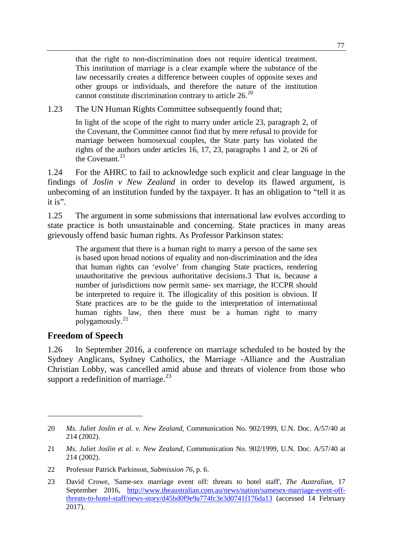that the right to non-discrimination does not require identical treatment. This institution of marriage is a clear example where the substance of the law necessarily creates a difference between couples of opposite sexes and other groups or individuals, and therefore the nature of the institution cannot constitute discrimination contrary to article  $26.20$  $26.20$ 

1.23 The UN Human Rights Committee subsequently found that;

In light of the scope of the right to marry under article 23, paragraph 2, of the Covenant, the Committee cannot find that by mere refusal to provide for marriage between homosexual couples, the State party has violated the rights of the authors under articles 16, 17, 23, paragraphs 1 and 2, or 26 of the Covenant. $21$ 

1.24 For the AHRC to fail to acknowledge such explicit and clear language in the findings of *Joslin v New Zealand* in order to develop its flawed argument, is unbecoming of an institution funded by the taxpayer. It has an obligation to "tell it as it is".

1.25 The argument in some submissions that international law evolves according to state practice is both unsustainable and concerning. State practices in many areas grievously offend basic human rights. As Professor Parkinson states:

The argument that there is a human right to marry a person of the same sex is based upon broad notions of equality and non-discrimination and the idea that human rights can 'evolve' from changing State practices, rendering unauthoritative the previous authoritative decisions.3 That is, because a number of jurisdictions now permit same- sex marriage, the ICCPR should be interpreted to require it. The illogicality of this position is obvious. If State practices are to be the guide to the interpretation of international human rights law, then there must be a human right to marry polygamously.[22](#page-6-2)

## **Freedom of Speech**

-

1.26 In September 2016, a conference on marriage scheduled to be hosted by the Sydney Anglicans, Sydney Catholics, the Marriage -Alliance and the Australian Christian Lobby, was cancelled amid abuse and threats of violence from those who support a redefinition of marriage. $^{23}$  $^{23}$  $^{23}$ 

<span id="page-6-0"></span><sup>20</sup> *Ms. Juliet Joslin et al. v. New Zealand*, Communication No. 902/1999, U.N. Doc. A/57/40 at 214 (2002).

<span id="page-6-1"></span><sup>21</sup> *Ms. Juliet Joslin et al. v. New Zealand*, Communication No. 902/1999, U.N. Doc. A/57/40 at 214 (2002).

<span id="page-6-2"></span><sup>22</sup> Professor Patrick Parkinson, *Submission 76,* p. 6.

<span id="page-6-3"></span><sup>23</sup> David Crowe, 'Same-sex marriage event off: threats to hotel staff', *The Australian,* 17 September 2016, [http://www.theaustralian.com.au/news/nation/samesex-marriage-event-off](http://www.theaustralian.com.au/news/nation/samesex-marriage-event-off-threats-to-hotel-staff/news-story/d45bd0f9e9a774fc3e3d0741f176da13)[threats-to-hotel-staff/news-story/d45bd0f9e9a774fc3e3d0741f176da13](http://www.theaustralian.com.au/news/nation/samesex-marriage-event-off-threats-to-hotel-staff/news-story/d45bd0f9e9a774fc3e3d0741f176da13) (accessed 14 February 2017).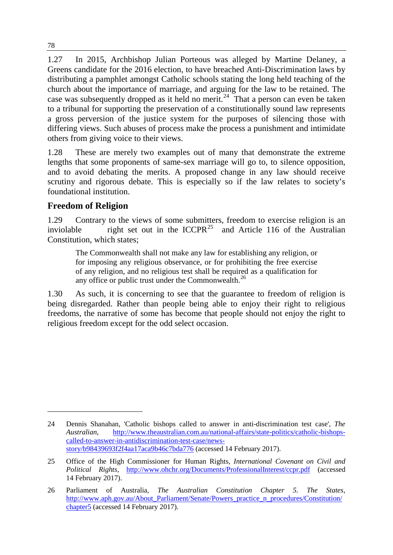1.27 In 2015, Archbishop Julian Porteous was alleged by Martine Delaney, a Greens candidate for the 2016 election, to have breached Anti-Discrimination laws by distributing a pamphlet amongst Catholic schools stating the long held teaching of the church about the importance of marriage, and arguing for the law to be retained. The case was subsequently dropped as it held no merit.<sup>[24](#page-7-0)</sup> That a person can even be taken to a tribunal for supporting the preservation of a constitutionally sound law represents a gross perversion of the justice system for the purposes of silencing those with differing views. Such abuses of process make the process a punishment and intimidate others from giving voice to their views.

1.28 These are merely two examples out of many that demonstrate the extreme lengths that some proponents of same-sex marriage will go to, to silence opposition, and to avoid debating the merits. A proposed change in any law should receive scrutiny and rigorous debate. This is especially so if the law relates to society's foundational institution.

## **Freedom of Religion**

1.29 Contrary to the views of some submitters, freedom to exercise religion is an inviolable right set out in the ICCPR<sup>[25](#page-7-1)</sup> and Article 116 of the Australian Constitution, which states;

The Commonwealth shall not make any law for establishing any religion, or for imposing any religious observance, or for prohibiting the free exercise of any religion, and no religious test shall be required as a qualification for any office or public trust under the Commonwealth. $^{26}$  $^{26}$  $^{26}$ 

1.30 As such, it is concerning to see that the guarantee to freedom of religion is being disregarded. Rather than people being able to enjoy their right to religious freedoms, the narrative of some has become that people should not enjoy the right to religious freedom except for the odd select occasion.

<span id="page-7-0"></span><sup>24</sup> Dennis Shanahan, 'Catholic bishops called to answer in anti-discrimination test case', *The Australian,* [http://www.theaustralian.com.au/national-affairs/state-politics/catholic-bishops](http://www.theaustralian.com.au/national-affairs/state-politics/catholic-bishops-called-to-answer-in-antidiscrimination-test-case/news-story/b98439693f2f4aa17aca9b46c7bda776)[called-to-answer-in-antidiscrimination-test-case/news](http://www.theaustralian.com.au/national-affairs/state-politics/catholic-bishops-called-to-answer-in-antidiscrimination-test-case/news-story/b98439693f2f4aa17aca9b46c7bda776)[story/b98439693f2f4aa17aca9b46c7bda776](http://www.theaustralian.com.au/national-affairs/state-politics/catholic-bishops-called-to-answer-in-antidiscrimination-test-case/news-story/b98439693f2f4aa17aca9b46c7bda776) (accessed 14 February 2017).

<span id="page-7-1"></span><sup>25</sup> Office of the High Commissioner for Human Rights, *International Covenant on Civil and Political Rights,* <http://www.ohchr.org/Documents/ProfessionalInterest/ccpr.pdf> (accessed 14 February 2017).

<span id="page-7-2"></span><sup>26</sup> Parliament of Australia*, The Australian Constitution Chapter 5. The States,* [http://www.aph.gov.au/About\\_Parliament/Senate/Powers\\_practice\\_n\\_procedures/Constitution/](http://www.aph.gov.au/About_Parliament/Senate/Powers_practice_n_procedures/Constitution/chapter5) [chapter5](http://www.aph.gov.au/About_Parliament/Senate/Powers_practice_n_procedures/Constitution/chapter5) (accessed 14 February 2017).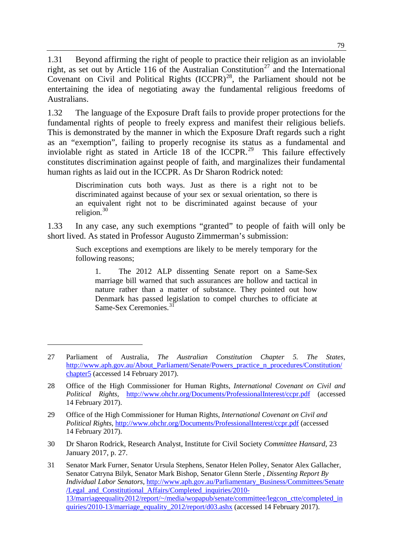1.31 Beyond affirming the right of people to practice their religion as an inviolable right, as set out by Article 116 of the Australian Constitution<sup>[27](#page-8-0)</sup> and the International Covenant on Civil and Political Rights  $(ICCPR)^{28}$ , the Parliament should not be entertaining the idea of negotiating away the fundamental religious freedoms of Australians.

1.32 The language of the Exposure Draft fails to provide proper protections for the fundamental rights of people to freely express and manifest their religious beliefs. This is demonstrated by the manner in which the Exposure Draft regards such a right as an "exemption", failing to properly recognise its status as a fundamental and inviolable right as stated in Article 18 of the ICCPR.<sup>[29](#page-8-2)</sup> This failure effectively constitutes discrimination against people of faith, and marginalizes their fundamental human rights as laid out in the ICCPR. As Dr Sharon Rodrick noted:

Discrimination cuts both ways. Just as there is a right not to be discriminated against because of your sex or sexual orientation, so there is an equivalent right not to be discriminated against because of your religion. $30$ 

1.33 In any case, any such exemptions "granted" to people of faith will only be short lived. As stated in Professor Augusto Zimmerman's submission:

Such exceptions and exemptions are likely to be merely temporary for the following reasons;

1. The 2012 ALP dissenting Senate report on a Same-Sex marriage bill warned that such assurances are hollow and tactical in nature rather than a matter of substance. They pointed out how Denmark has passed legislation to compel churches to officiate at Same-Sex Ceremonies.[31](#page-8-4) 

-

<span id="page-8-3"></span>30 Dr Sharon Rodrick, Research Analyst, Institute for Civil Society *Committee Hansard*, 23 January 2017, p. 27.

<span id="page-8-0"></span><sup>27</sup> Parliament of Australia*, The Australian Constitution Chapter 5. The States,* [http://www.aph.gov.au/About\\_Parliament/Senate/Powers\\_practice\\_n\\_procedures/Constitution/](http://www.aph.gov.au/About_Parliament/Senate/Powers_practice_n_procedures/Constitution/chapter5) chapter<sub>5</sub> (accessed 14 February 2017).

<span id="page-8-1"></span><sup>28</sup> Office of the High Commissioner for Human Rights, *International Covenant on Civil and Political Rights,* <http://www.ohchr.org/Documents/ProfessionalInterest/ccpr.pdf> (accessed 14 February 2017).

<span id="page-8-2"></span><sup>29</sup> Office of the High Commissioner for Human Rights, *International Covenant on Civil and Political Rights,* <http://www.ohchr.org/Documents/ProfessionalInterest/ccpr.pdf> (accessed 14 February 2017).

<span id="page-8-4"></span><sup>31</sup> Senator Mark Furner, Senator Ursula Stephens, Senator Helen Polley, Senator Alex Gallacher, Senator Catryna Bilyk, Senator Mark Bishop, Senator Glenn Sterle , *Dissenting Report By Individual Labor Senators,* [http://www.aph.gov.au/Parliamentary\\_Business/Committees/Senate](http://www.aph.gov.au/Parliamentary_Business/Committees/Senate/Legal_and_Constitutional_Affairs/Completed_inquiries/2010-13/marriageequality2012/report/%7E/media/wopapub/senate/committee/legcon_ctte/completed_inquiries/2010-13/marriage_equality_2012/report/d03.ashx) [/Legal\\_and\\_Constitutional\\_Affairs/Completed\\_inquiries/2010-](http://www.aph.gov.au/Parliamentary_Business/Committees/Senate/Legal_and_Constitutional_Affairs/Completed_inquiries/2010-13/marriageequality2012/report/%7E/media/wopapub/senate/committee/legcon_ctte/completed_inquiries/2010-13/marriage_equality_2012/report/d03.ashx) [13/marriageequality2012/report/~/media/wopapub/senate/committee/legcon\\_ctte/completed\\_in](http://www.aph.gov.au/Parliamentary_Business/Committees/Senate/Legal_and_Constitutional_Affairs/Completed_inquiries/2010-13/marriageequality2012/report/%7E/media/wopapub/senate/committee/legcon_ctte/completed_inquiries/2010-13/marriage_equality_2012/report/d03.ashx) [quiries/2010-13/marriage\\_equality\\_2012/report/d03.ashx](http://www.aph.gov.au/Parliamentary_Business/Committees/Senate/Legal_and_Constitutional_Affairs/Completed_inquiries/2010-13/marriageequality2012/report/%7E/media/wopapub/senate/committee/legcon_ctte/completed_inquiries/2010-13/marriage_equality_2012/report/d03.ashx) (accessed 14 February 2017).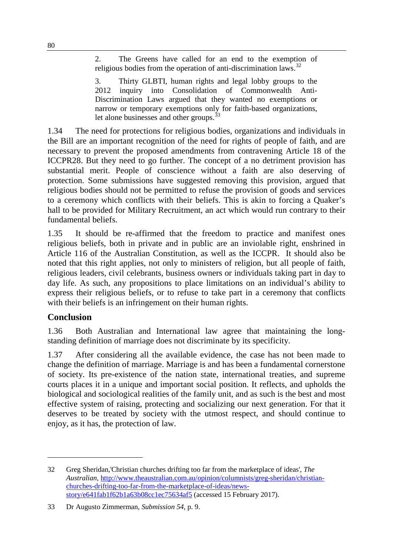2. The Greens have called for an end to the exemption of religious bodies from the operation of anti-discrimination laws.<sup>[32](#page-9-0)</sup>

3. Thirty GLBTI, human rights and legal lobby groups to the 2012 inquiry into Consolidation of Commonwealth Anti-Discrimination Laws argued that they wanted no exemptions or narrow or temporary exemptions only for faith-based organizations, let alone businesses and other groups.<sup>33</sup>

1.34 The need for protections for religious bodies, organizations and individuals in the Bill are an important recognition of the need for rights of people of faith, and are necessary to prevent the proposed amendments from contravening Article 18 of the ICCPR28. But they need to go further. The concept of a no detriment provision has substantial merit. People of conscience without a faith are also deserving of protection. Some submissions have suggested removing this provision, argued that religious bodies should not be permitted to refuse the provision of goods and services to a ceremony which conflicts with their beliefs. This is akin to forcing a Quaker's hall to be provided for Military Recruitment, an act which would run contrary to their fundamental beliefs.

1.35 It should be re-affirmed that the freedom to practice and manifest ones religious beliefs, both in private and in public are an inviolable right, enshrined in Article 116 of the Australian Constitution, as well as the ICCPR. It should also be noted that this right applies, not only to ministers of religion, but all people of faith, religious leaders, civil celebrants, business owners or individuals taking part in day to day life. As such, any propositions to place limitations on an individual's ability to express their religious beliefs, or to refuse to take part in a ceremony that conflicts with their beliefs is an infringement on their human rights.

## **Conclusion**

-

1.36 Both Australian and International law agree that maintaining the longstanding definition of marriage does not discriminate by its specificity.

1.37 After considering all the available evidence, the case has not been made to change the definition of marriage. Marriage is and has been a fundamental cornerstone of society. Its pre-existence of the nation state, international treaties, and supreme courts places it in a unique and important social position. It reflects, and upholds the biological and sociological realities of the family unit, and as such is the best and most effective system of raising, protecting and socializing our next generation. For that it deserves to be treated by society with the utmost respect, and should continue to enjoy, as it has, the protection of law.

<span id="page-9-0"></span><sup>32</sup> Greg Sheridan,'Christian churches drifting too far from the marketplace of ideas', *The Australian,* [http://www.theaustralian.com.au/opinion/columnists/greg-sheridan/christian](http://www.theaustralian.com.au/opinion/columnists/greg-sheridan/christian-churches-drifting-too-far-from-the-marketplace-of-ideas/news-story/e641fab1f62b1a63b08cc1ec75634af5)[churches-drifting-too-far-from-the-marketplace-of-ideas/news](http://www.theaustralian.com.au/opinion/columnists/greg-sheridan/christian-churches-drifting-too-far-from-the-marketplace-of-ideas/news-story/e641fab1f62b1a63b08cc1ec75634af5)[story/e641fab1f62b1a63b08cc1ec75634af5](http://www.theaustralian.com.au/opinion/columnists/greg-sheridan/christian-churches-drifting-too-far-from-the-marketplace-of-ideas/news-story/e641fab1f62b1a63b08cc1ec75634af5) (accessed 15 February 2017).

<span id="page-9-1"></span><sup>33</sup> Dr Augusto Zimmerman, *Submission 54,* p. 9.